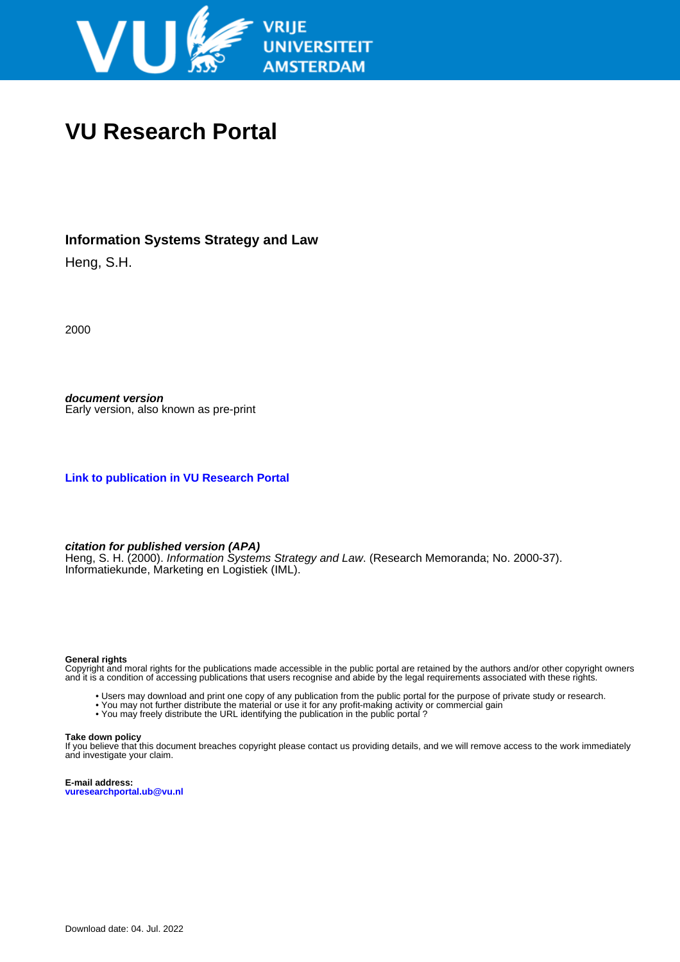

## **VU Research Portal**

## **Information Systems Strategy and Law**

Heng, S.H.

2000

**document version** Early version, also known as pre-print

**[Link to publication in VU Research Portal](https://research.vu.nl/en/publications/23347ac0-c62d-4f70-8abd-c299ab196d44)**

#### **citation for published version (APA)**

Heng, S. H. (2000). Information Systems Strategy and Law. (Research Memoranda; No. 2000-37). Informatiekunde, Marketing en Logistiek (IML).

#### **General rights**

Copyright and moral rights for the publications made accessible in the public portal are retained by the authors and/or other copyright owners and it is a condition of accessing publications that users recognise and abide by the legal requirements associated with these rights.

- Users may download and print one copy of any publication from the public portal for the purpose of private study or research.
- You may not further distribute the material or use it for any profit-making activity or commercial gain
- You may freely distribute the URL identifying the publication in the public portal?

#### **Take down policy**

If you believe that this document breaches copyright please contact us providing details, and we will remove access to the work immediately and investigate your claim.

**E-mail address: vuresearchportal.ub@vu.nl**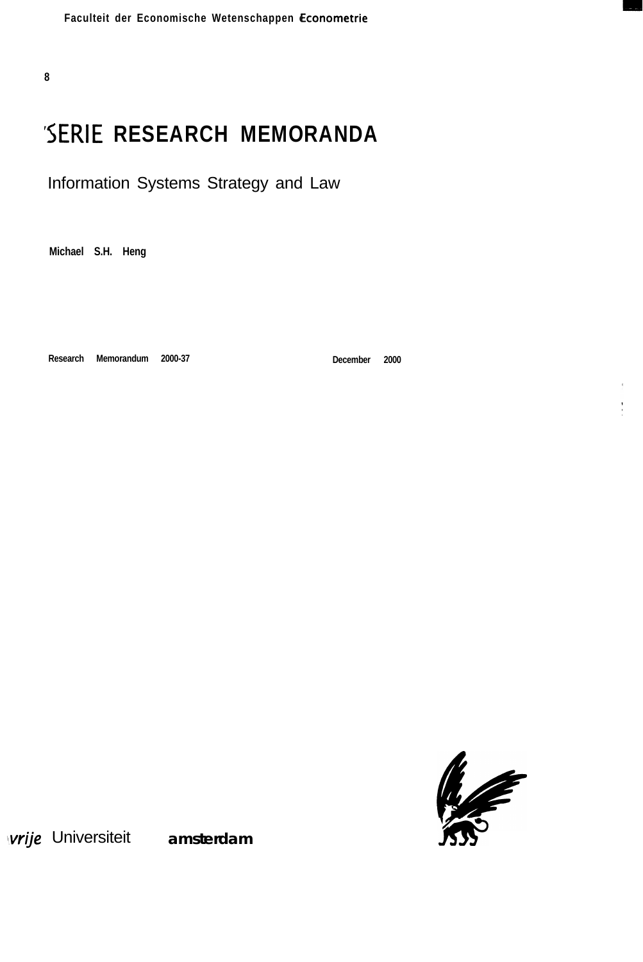Faculteit der Economische Wetenschappen Econometrie

**8**

# **'SERIE RESEARCH MEMORANDA**

Information Systems Strategy and Law

**Michael S.H. Heng**

**Research Memorandum 2000-37**

**December 2000**



vrije Universiteit amsterdam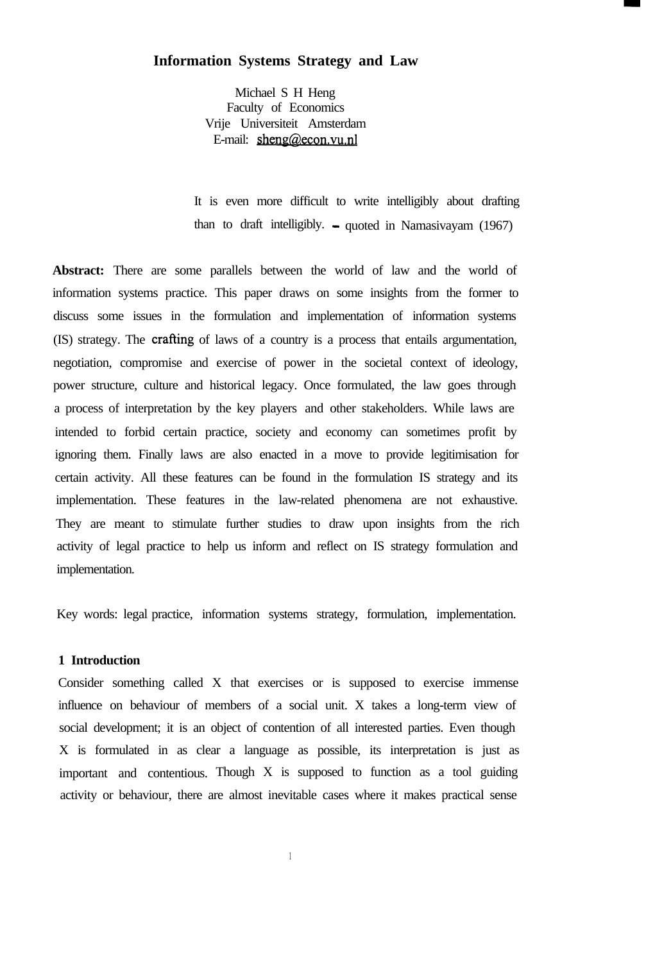#### **Information Systems Strategy and Law**

Michael S H Heng Faculty of Economics Vrije Universiteit Amsterdam E-mail: sheng@econ.vu.nl

It is even more difficult to write intelligibly about drafting than to draft intelligibly.  $\sim$  quoted in Namasivayam (1967)

Abstract: There are some parallels between the world of law and the world of information systems practice. This paper draws on some insights from the former to discuss some issues in the formulation and implementation of information systems (IS) strategy. The crafting of laws of a country is a process that entails argumentation, negotiation, compromise and exercise of power in the societal context of ideology, power structure, culture and historical legacy. Once formulated, the law goes through a process of interpretation by the key players and other stakeholders. While laws are intended to forbid certain practice, society and economy can sometimes profit by ignoring them. Finally laws are also enacted in a move to provide legitimisation for certain activity. All these features can be found in the formulation IS strategy and its implementation. These features in the law-related phenomena are not exhaustive. They are meant to stimulate further studies to draw upon insights from the rich activity of legal practice to help us inform and reflect on IS strategy formulation and implementation.

Key words: legal practice, information systems strategy, formulation, implementation.

#### **1 Introduction**

Consider something called X that exercises or is supposed to exercise immense influence on behaviour of members of a social unit. X takes a long-term view of social development; it is an object of contention of all interested parties. Even though X is formulated in as clear a language as possible, its interpretation is just as important and contentious. Though X is supposed to function as a tool guiding activity or behaviour, there are almost inevitable cases where it makes practical sense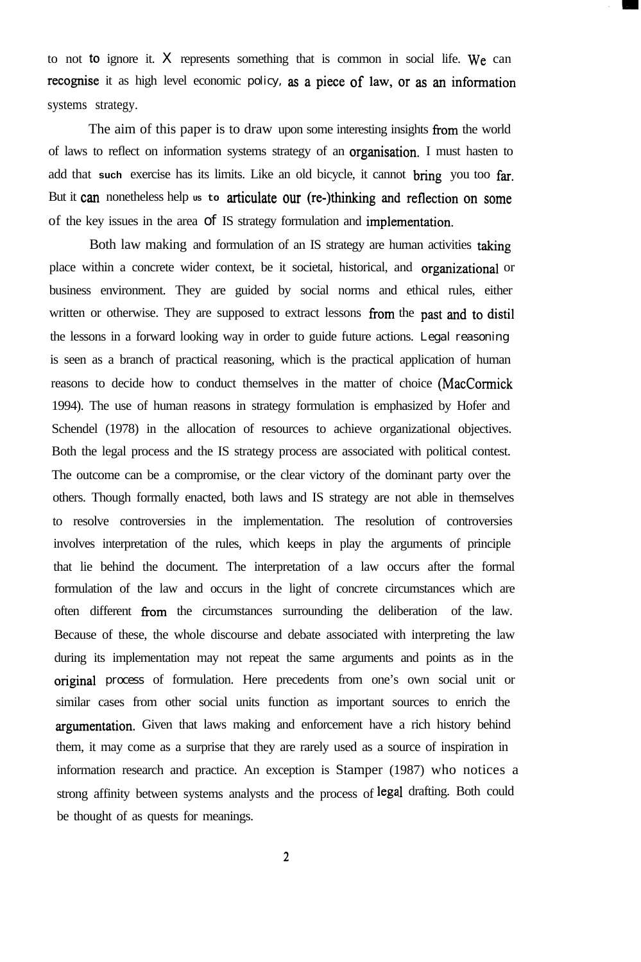to not to ignore it. X represents something that is common in social life. We can recognise it as high level economic policy, as a piece of law, or as an information systems strategy.

The aim of this paper is to draw upon some interesting insights from the world of laws to reflect on information systems strategy of an organisation. I must hasten to add that **such** exercise has its limits. Like an old bicycle, it cannot **bring** you too far. But it can nonetheless help  $\sigma$ s to articulate our (re-)thinking and reflection on some of the key issues in the area of IS strategy formulation and **implementation.**

Both law making and formulation of an IS strategy are human activities taking place within a concrete wider context, be it societal, historical, and organizational or business environment. They are guided by social norms and ethical rules, either written or otherwise. They are supposed to extract lessons from the past and to distil the lessons in a forward looking way in order to guide future actions. Legal reasoning is seen as a branch of practical reasoning, which is the practical application of human reasons to decide how to conduct themselves in the matter of choice (MacCormick 1994). The use of human reasons in strategy formulation is emphasized by Hofer and Schendel (1978) in the allocation of resources to achieve organizational objectives. Both the legal process and the IS strategy process are associated with political contest. The outcome can be a compromise, or the clear victory of the dominant party over the others. Though formally enacted, both laws and IS strategy are not able in themselves to resolve controversies in the implementation. The resolution of controversies involves interpretation of the rules, which keeps in play the arguments of principle that lie behind the document. The interpretation of a law occurs after the formal formulation of the law and occurs in the light of concrete circumstances which are often different from the circumstances surrounding the deliberation of the law. Because of these, the whole discourse and debate associated with interpreting the law during its implementation may not repeat the same arguments and points as in the original process of formulation. Here precedents from one's own social unit or similar cases from other social units function as important sources to enrich the argumentation. Given that laws making and enforcement have a rich history behind them, it may come as a surprise that they are rarely used as a source of inspiration in information research and practice. An exception is Stamper (1987) who notices a strong affinity between systems analysts and the process of legal drafting. Both could be thought of as quests for meanings.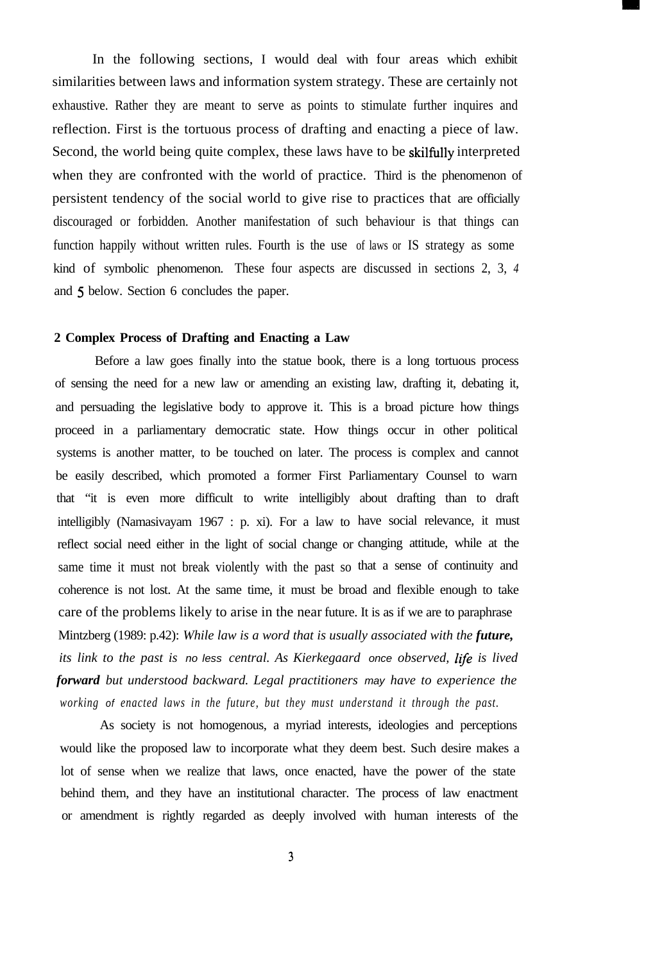In the following sections, I would deal with four areas which exhibit similarities between laws and information system strategy. These are certainly not exhaustive. Rather they are meant to serve as points to stimulate further inquires and reflection. First is the tortuous process of drafting and enacting a piece of law. Second, the world being quite complex, these laws have to be skilfully interpreted when they are confronted with the world of practice. Third is the phenomenon of persistent tendency of the social world to give rise to practices that are officially discouraged or forbidden. Another manifestation of such behaviour is that things can function happily without written rules. Fourth is the use of laws or IS strategy as some kind of symbolic phenomenon. These four aspects are discussed in sections 2, 3, *4* and 5 below. Section 6 concludes the paper.

#### **2 Complex Process of Drafting and Enacting a Law**

Before a law goes finally into the statue book, there is a long tortuous process of sensing the need for a new law or amending an existing law, drafting it, debating it, and persuading the legislative body to approve it. This is a broad picture how things proceed in a parliamentary democratic state. How things occur in other political systems is another matter, to be touched on later. The process is complex and cannot be easily described, which promoted a former First Parliamentary Counsel to warn that "it is even more difficult to write intelligibly about drafting than to draft intelligibly (Namasivayam 1967 : p. xi). For a law to have social relevance, it must reflect social need either in the light of social change or changing attitude, while at the same time it must not break violently with the past so that a sense of continuity and coherence is not lost. At the same time, it must be broad and flexible enough to take care of the problems likely to arise in the near future. It is as if we are to paraphrase Mintzberg (1989: p.42): *While law is a word that is usually associated with the future, its link to the past is no less central. As Kierkegaard once observed, Iife is lived forward but understood backward. Legal practitioners may have to experience the*

As society is not homogenous, a myriad interests, ideologies and perceptions would like the proposed law to incorporate what they deem best. Such desire makes a lot of sense when we realize that laws, once enacted, have the power of the state behind them, and they have an institutional character. The process of law enactment or amendment is rightly regarded as deeply involved with human interests of the

*working of enacted laws in the future, but they must understand it through the past.*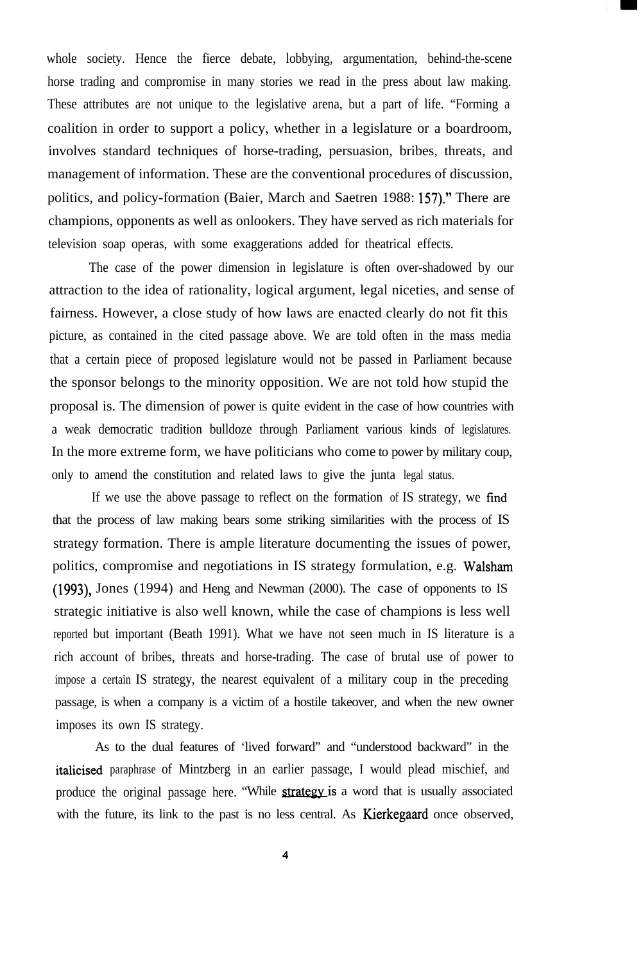whole society. Hence the fierce debate, lobbying, argumentation, behind-the-scene horse trading and compromise in many stories we read in the press about law making. These attributes are not unique to the legislative arena, but a part of life. "Forming a coalition in order to support a policy, whether in a legislature or a boardroom, involves standard techniques of horse-trading, persuasion, bribes, threats, and management of information. These are the conventional procedures of discussion, politics, and policy-formation (Baier, March and Saetren 1988: 157)." There are champions, opponents as well as onlookers. They have served as rich materials for television soap operas, with some exaggerations added for theatrical effects.

The case of the power dimension in legislature is often over-shadowed by our attraction to the idea of rationality, logical argument, legal niceties, and sense of fairness. However, a close study of how laws are enacted clearly do not fit this picture, as contained in the cited passage above. We are told often in the mass media that a certain piece of proposed legislature would not be passed in Parliament because the sponsor belongs to the minority opposition. We are not told how stupid the proposal is. The dimension of power is quite evident in the case of how countries with a weak democratic tradition bulldoze through Parliament various kinds of legislatures. In the more extreme form, we have politicians who come to power by military coup, only to amend the constitution and related laws to give the junta legal status.

If we use the above passage to reflect on the formation of IS strategy, we find that the process of law making bears some striking similarities with the process of IS strategy formation. There is ample literature documenting the issues of power, politics, compromise and negotiations in IS strategy formulation, e.g. Walsham (1993), Jones (1994) and Heng and Newman (2000). The case of opponents to IS strategic initiative is also well known, while the case of champions is less well reported but important (Beath 1991). What we have not seen much in IS literature is a rich account of bribes, threats and horse-trading. The case of brutal use of power to impose a certain IS strategy, the nearest equivalent of a military coup in the preceding passage, is when a company is a victim of a hostile takeover, and when the new owner imposes its own IS strategy.

As to the dual features of 'lived forward" and "understood backward" in the italicised paraphrase of Mintzberg in an earlier passage, I would plead mischief, and produce the original passage here. "While **strategy** is a word that is usually associated with the future, its link to the past is no less central. As **Kierkegaard** once observed,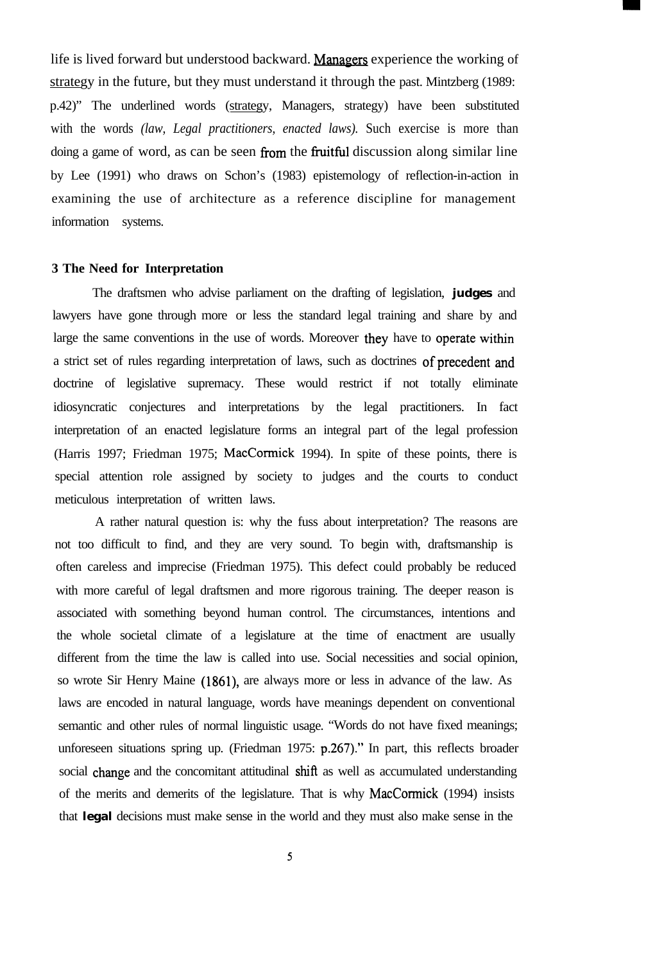life is lived forward but understood backward. Managers experience the working of strategy in the future, but they must understand it through the past. Mintzberg (1989: p.42)" The underlined words (strategy, Managers, strategy) have been substituted with the words *(law, Legal practitioners, enacted laws).* Such exercise is more than doing a game of word, as can be seen from the fruitful discussion along similar line by Lee (1991) who draws on Schon's (1983) epistemology of reflection-in-action in examining the use of architecture as a reference discipline for management information systems.

#### **3 The Need for Interpretation**

The draftsmen who advise parliament on the drafting of legislation, **judges** and lawyers have gone through more or less the standard legal training and share by and large the same conventions in the use of words. Moreover **they** have to operate within a strict set of rules regarding interpretation of laws, such as doctrines of precedent and doctrine of legislative supremacy. These would restrict if not totally eliminate idiosyncratic conjectures and interpretations by the legal practitioners. In fact interpretation of an enacted legislature forms an integral part of the legal profession (Harris 1997; Friedman 1975; MacCormick 1994). In spite of these points, there is special attention role assigned by society to judges and the courts to conduct meticulous interpretation of written laws.

A rather natural question is: why the fuss about interpretation? The reasons are not too difficult to find, and they are very sound. To begin with, draftsmanship is often careless and imprecise (Friedman 1975). This defect could probably be reduced with more careful of legal draftsmen and more rigorous training. The deeper reason is associated with something beyond human control. The circumstances, intentions and the whole societal climate of a legislature at the time of enactment are usually different from the time the law is called into use. Social necessities and social opinion, so wrote Sir Henry Maine (1861), are always more or less in advance of the law. As laws are encoded in natural language, words have meanings dependent on conventional semantic and other rules of normal linguistic usage. "Words do not have fixed meanings; unforeseen situations spring up. (Friedman 1975: p.267)." In part, this reflects broader social change and the concomitant attitudinal shift as well as accumulated understanding of the merits and demerits of the legislature. That is why MacCormick (1994) insists that **legal** decisions must make sense in the world and they must also make sense in the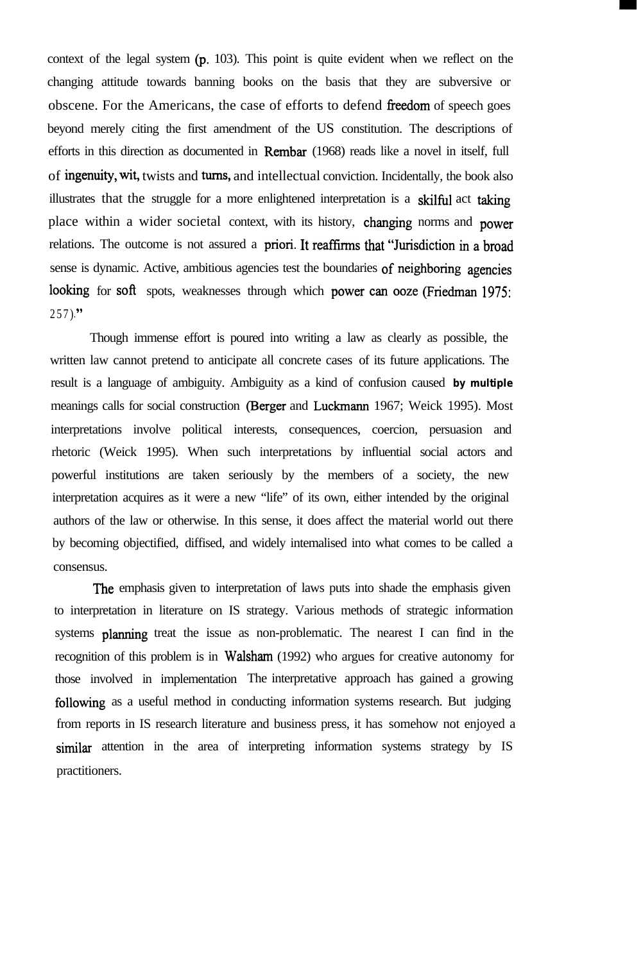context of the legal system (p. 103). This point is quite evident when we reflect on the changing attitude towards banning books on the basis that they are subversive or obscene. For the Americans, the case of efforts to defend freedom of speech goes beyond merely citing the first amendment of the US constitution. The descriptions of efforts in this direction as documented in Rembar (1968) reads like a novel in itself, full of ingenuity, wit, twists and turns, and intellectual conviction. Incidentally, the book also illustrates that the struggle for a more enlightened interpretation is a skilful act **t&ing** place within a wider societal context, with its history, changing norms and **power** relations. The outcome is not assured a **priori.** It **reaffirms** that "Jurisdiction in a broad sense is dynamic. Active, ambitious agencies test the boundaries of neighboring agencies looking for soft spots, weaknesses through which **power** can ooze (Friedman 1975:  $257)$ ."

Though immense effort is poured into writing a law as clearly as possible, the written law cannot pretend to anticipate all concrete cases of its future applications. The result is a language of ambiguity. Ambiguity as a kind of confusion caused **by multiple** meanings calls for social construction (Berger and Luckmann 1967; Weick 1995). Most interpretations involve political interests, consequences, coercion, persuasion and rhetoric (Weick 1995). When such interpretations by influential social actors and powerful institutions are taken seriously by the members of a society, the new interpretation acquires as it were a new "life" of its own, either intended by the original authors of the law or otherwise. In this sense, it does affect the material world out there by becoming objectified, diffised, and widely intemalised into what comes to be called a consensus.

The emphasis given to interpretation of laws puts into shade the emphasis given to interpretation in literature on IS strategy. Various methods of strategic information systems **planning** treat the issue as non-problematic. The nearest I can find in the recognition of this problem is in Walsham (1992) who argues for creative autonomy for those involved in implementation The interpretative approach has gained a growing following as a useful method in conducting information systems research. But judging from reports in IS research literature and business press, it has somehow not enjoyed a similar attention in the area of interpreting information systems strategy by IS practitioners.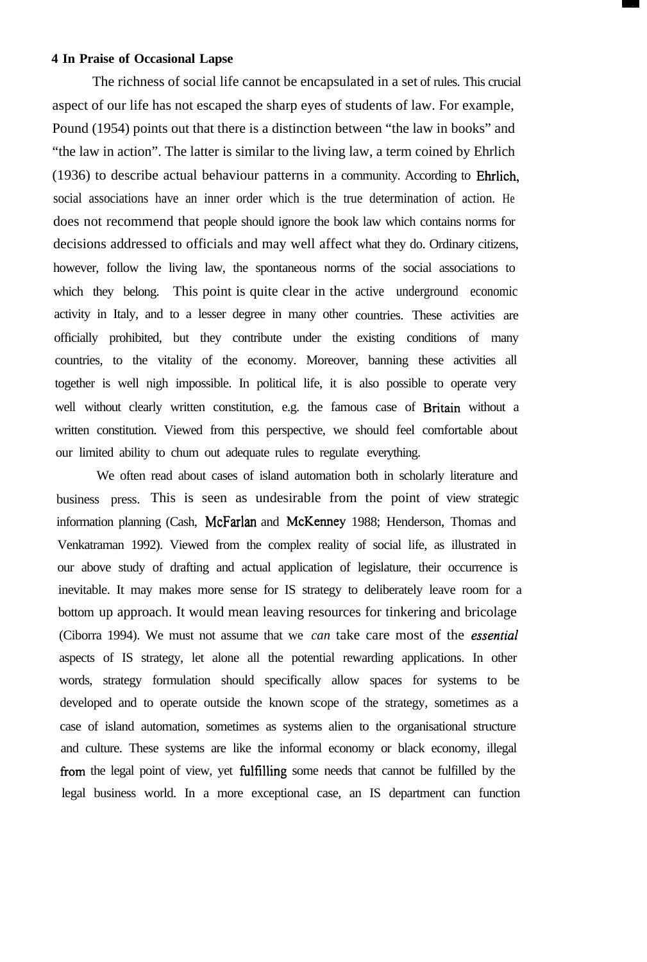#### **4 In Praise of Occasional Lapse**

The richness of social life cannot be encapsulated in a set of rules. This crucial aspect of our life has not escaped the sharp eyes of students of law. For example, Pound (1954) points out that there is a distinction between "the law in books" and "the law in action". The latter is similar to the living law, a term coined by Ehrlich (1936) to describe actual behaviour patterns in a community. According to Ehrlich, social associations have an inner order which is the true determination of action. He does not recommend that people should ignore the book law which contains norms for decisions addressed to officials and may well affect what they do. Ordinary citizens, however, follow the living law, the spontaneous norms of the social associations to which they belong. This point is quite clear in the active underground economic activity in Italy, and to a lesser degree in many other countries. These activities are officially prohibited, but they contribute under the existing conditions of many countries, to the vitality of the economy. Moreover, banning these activities all together is well nigh impossible. In political life, it is also possible to operate very well without clearly written constitution, e.g. the famous case of Britain without a written constitution. Viewed from this perspective, we should feel comfortable about our limited ability to chum out adequate rules to regulate everything.

We often read about cases of island automation both in scholarly literature and business press. This is seen as undesirable from the point of view strategic information planning (Cash, McFarlan and McKenney 1988; Henderson, Thomas and Venkatraman 1992). Viewed from the complex reality of social life, as illustrated in our above study of drafting and actual application of legislature, their occurrence is inevitable. It may makes more sense for IS strategy to deliberately leave room for a bottom up approach. It would mean leaving resources for tinkering and bricolage (Ciborra 1994). We must not assume that we *can* take care most of the *essential* aspects of IS strategy, let alone all the potential rewarding applications. In other words, strategy formulation should specifically allow spaces for systems to be developed and to operate outside the known scope of the strategy, sometimes as a case of island automation, sometimes as systems alien to the organisational structure and culture. These systems are like the informal economy or black economy, illegal from the legal point of view, yet filfilling some needs that cannot be fulfilled by the legal business world. In a more exceptional case, an IS department can function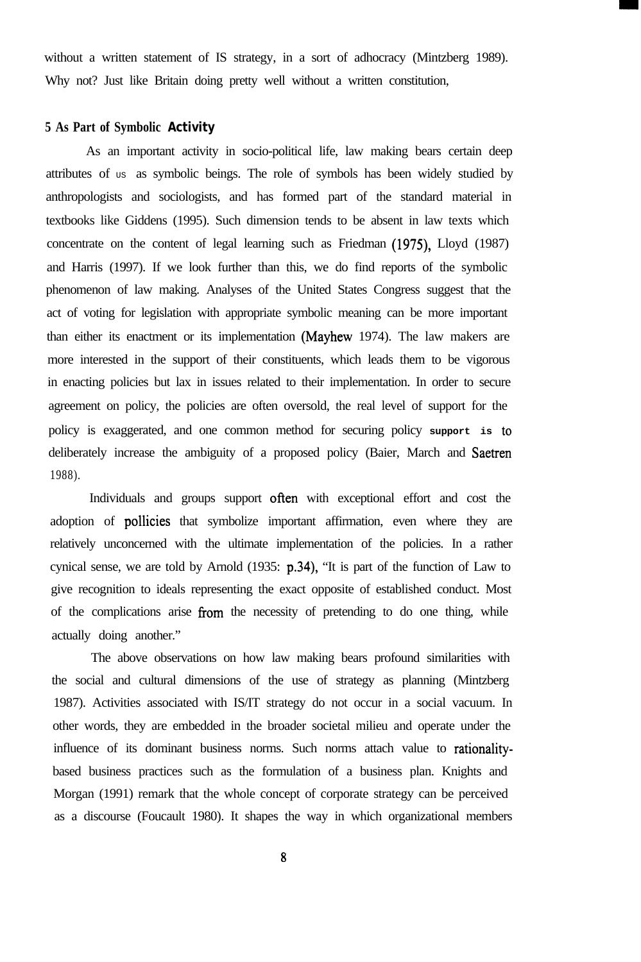without a written statement of IS strategy, in a sort of adhocracy (Mintzberg 1989). Why not? Just like Britain doing pretty well without a written constitution,

#### **5 As Part of Symbolic Activity**

As an important activity in socio-political life, law making bears certain deep attributes of  $US$  as symbolic beings. The role of symbols has been widely studied by anthropologists and sociologists, and has formed part of the standard material in textbooks like Giddens (1995). Such dimension tends to be absent in law texts which concentrate on the content of legal learning such as Friedman (1975), Lloyd (1987) and Harris (1997). If we look further than this, we do find reports of the symbolic phenomenon of law making. Analyses of the United States Congress suggest that the act of voting for legislation with appropriate symbolic meaning can be more important than either its enactment or its implementation (Mayhew 1974). The law makers are more interested in the support of their constituents, which leads them to be vigorous in enacting policies but lax in issues related to their implementation. In order to secure agreement on policy, the policies are often oversold, the real level of support for the policy is exaggerated, and one common method for securing policy **support is to** deliberately increase the ambiguity of a proposed policy (Baier, March and Saetren 1988).

Individuals and groups support often with exceptional effort and cost the adoption of pollicies that symbolize important affirmation, even where they are relatively unconcerned with the ultimate implementation of the policies. In a rather cynical sense, we are told by Arnold (1935: p.34), "It is part of the function of Law to give recognition to ideals representing the exact opposite of established conduct. Most of the complications arise from the necessity of pretending to do one thing, while actually doing another."

The above observations on how law making bears profound similarities with the social and cultural dimensions of the use of strategy as planning (Mintzberg 1987). Activities associated with IS/IT strategy do not occur in a social vacuum. In other words, they are embedded in the broader societal milieu and operate under the influence of its dominant business norms. Such norms attach value to rationalitybased business practices such as the formulation of a business plan. Knights and Morgan (1991) remark that the whole concept of corporate strategy can be perceived as a discourse (Foucault 1980). It shapes the way in which organizational members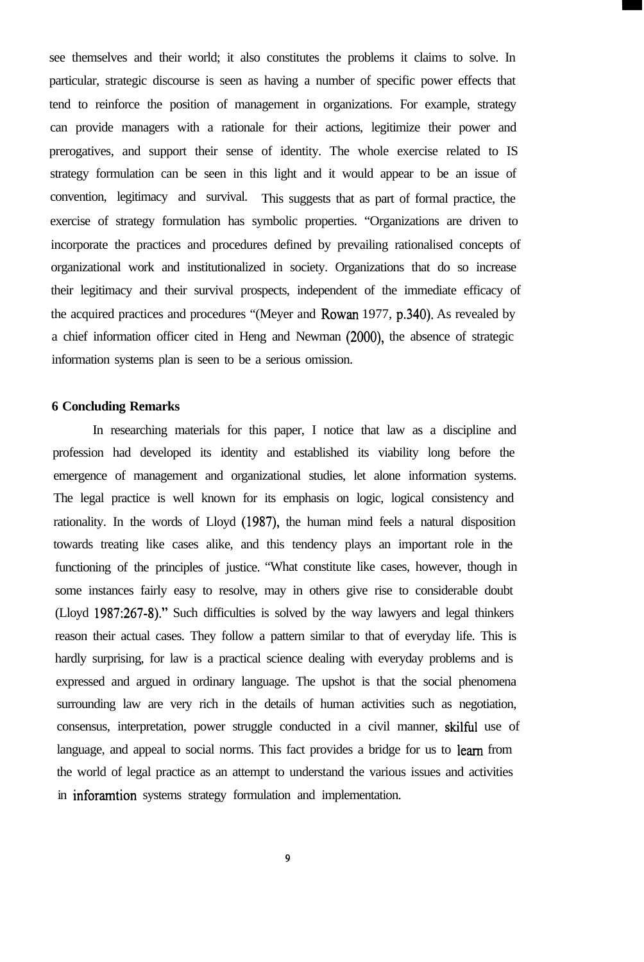see themselves and their world; it also constitutes the problems it claims to solve. In particular, strategic discourse is seen as having a number of specific power effects that tend to reinforce the position of management in organizations. For example, strategy can provide managers with a rationale for their actions, legitimize their power and prerogatives, and support their sense of identity. The whole exercise related to IS strategy formulation can be seen in this light and it would appear to be an issue of convention, legitimacy and survival. This suggests that as part of formal practice, the exercise of strategy formulation has symbolic properties. "Organizations are driven to incorporate the practices and procedures defined by prevailing rationalised concepts of organizational work and institutionalized in society. Organizations that do so increase their legitimacy and their survival prospects, independent of the immediate efficacy of the acquired practices and procedures "(Meyer and Rowan 1977, p.340). As revealed by a chief information officer cited in Heng and Newman (2000), the absence of strategic information systems plan is seen to be a serious omission.

#### **6 Concluding Remarks**

In researching materials for this paper, I notice that law as a discipline and profession had developed its identity and established its viability long before the emergence of management and organizational studies, let alone information systems. The legal practice is well known for its emphasis on logic, logical consistency and rationality. In the words of Lloyd (1987), the human mind feels a natural disposition towards treating like cases alike, and this tendency plays an important role in the functioning of the principles of justice. "What constitute like cases, however, though in some instances fairly easy to resolve, may in others give rise to considerable doubt (Lloyd 1987:267-8)." Such difficulties is solved by the way lawyers and legal thinkers reason their actual cases. They follow a pattern similar to that of everyday life. This is hardly surprising, for law is a practical science dealing with everyday problems and is expressed and argued in ordinary language. The upshot is that the social phenomena surrounding law are very rich in the details of human activities such as negotiation, consensus, interpretation, power struggle conducted in a civil manner, skilful use of language, and appeal to social norms. This fact provides a bridge for us to learn from the world of legal practice as an attempt to understand the various issues and activities in inforamtion systems strategy formulation and implementation.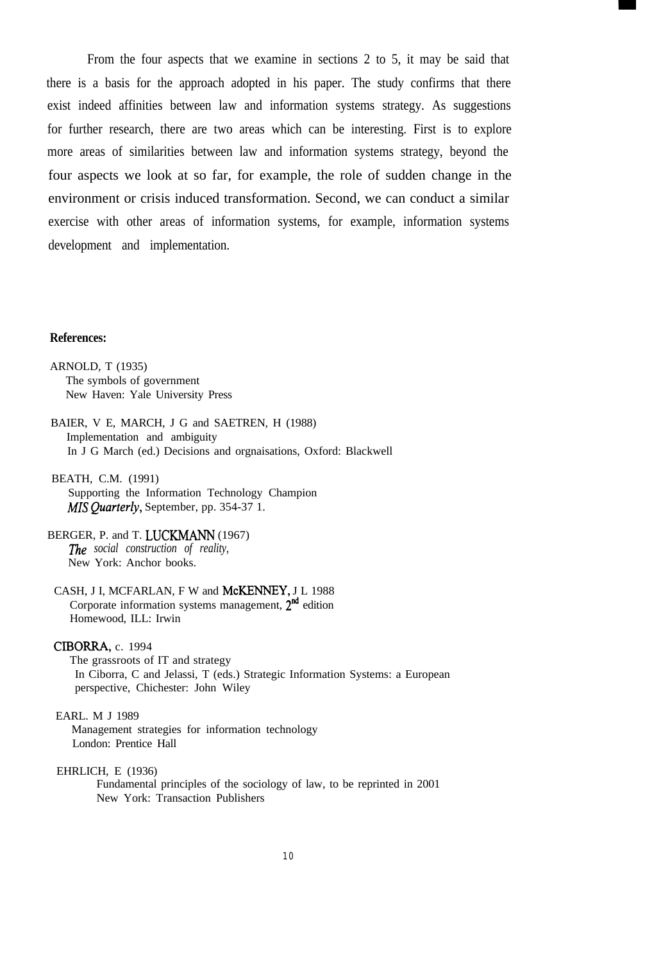From the four aspects that we examine in sections 2 to 5, it may be said that there is a basis for the approach adopted in his paper. The study confirms that there exist indeed affinities between law and information systems strategy. As suggestions for further research, there are two areas which can be interesting. First is to explore more areas of similarities between law and information systems strategy, beyond the four aspects we look at so far, for example, the role of sudden change in the environment or crisis induced transformation. Second, we can conduct a similar exercise with other areas of information systems, for example, information systems development and implementation.

#### **References:**

ARNOLD, T (1935) The symbols of government New Haven: Yale University Press

- BAIER, V E, MARCH, J G and SAETREN, H (1988) Implementation and ambiguity In J G March (ed.) Decisions and orgnaisations, Oxford: Blackwell
- BEATH, C.M. (1991) Supporting the Information Technology Champion MIS Quarterly, September, pp. 354-37 1.
- BERGER, P. and T. LUCKMANN (1967) *The social construction of reality,* New York: Anchor books.
- CASH, J I, MCFARLAN, F W and McKENNEY, J L 1988 Corporate information systems management,  $2<sup>nd</sup>$  edition Homewood, ILL: Irwin

#### CIBORRA, c. 1994

The grassroots of IT and strategy In Ciborra, C and Jelassi, T (eds.) Strategic Information Systems: a European perspective, Chichester: John Wiley

#### EARL. M J 1989

Management strategies for information technology London: Prentice Hall

#### EHRLICH, E (1936)

Fundamental principles of the sociology of law, to be reprinted in 2001 New York: Transaction Publishers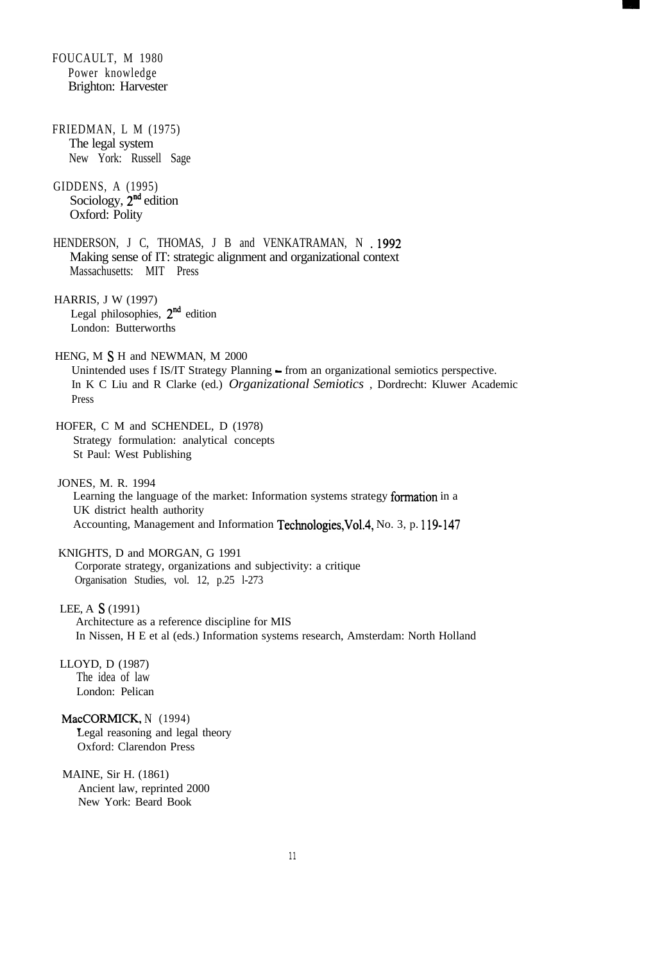FOUCAULT, M 1980 Power knowledge Brighton: Harvester FRIEDMAN, L M (1975) The legal system New York: Russell Sage GIDDENS, A (1995) Sociology,  $2<sup>nd</sup>$  edition Oxford: Polity HENDERSON, J C, THOMAS, J B and VENKATRAMAN, N . 1992 Making sense of IT: strategic alignment and organizational context Massachusetts: MIT Press HARRIS, J W (1997) Legal philosophies,  $2^{nd}$  edition London: Butterworths HENG, M S H and NEWMAN, M 2000 Unintended uses f IS/IT Strategy Planning - from an organizational semiotics perspective. In K C Liu and R Clarke (ed.) *Organizational Semiotics* , Dordrecht: Kluwer Academic Press HOFER, C M and SCHENDEL, D (1978) Strategy formulation: analytical concepts St Paul: West Publishing JONES, M. R. 1994 Learning the language of the market: Information systems strategy formation in a UK district health authority Accounting, Management and Information Technologies,Vol.4, No. 3, p. 119-147 KNIGHTS, D and MORGAN, G 1991 Corporate strategy, organizations and subjectivity: a critique Organisation Studies, vol. 12, p.25 l-273 LEE, A S (1991) Architecture as a reference discipline for MIS In Nissen, H E et al (eds.) Information systems research, Amsterdam: North Holland LLOYD, D (1987) The idea of law London: Pelican MacCORMICK, N (1994) Legal reasoning and legal theory Oxford: Clarendon Press MAINE, Sir H. (1861) Ancient law, reprinted 2000 New York: Beard Book